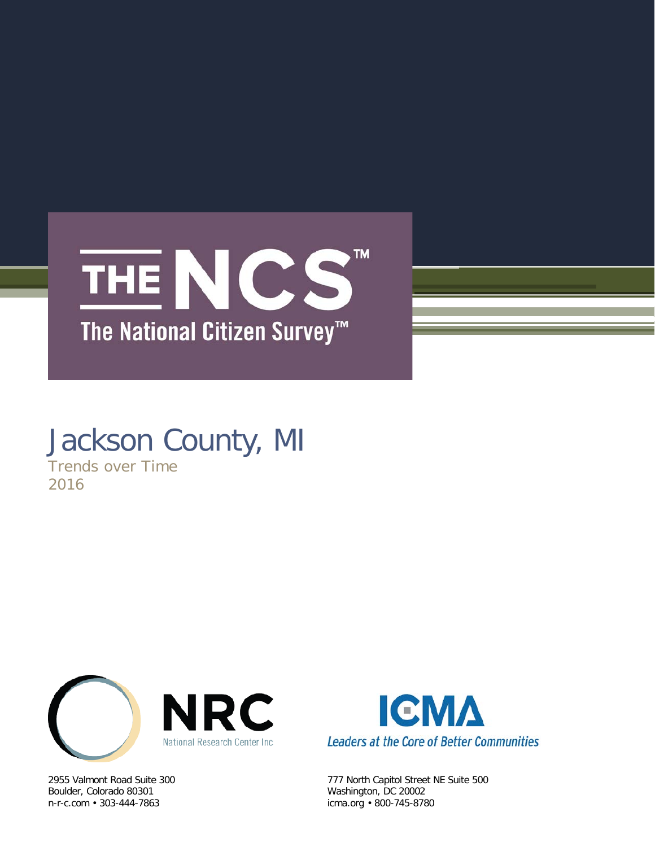

# Jackson County, MI

Trends over Time 2016



Boulder, Colorado 80301 Washington, DC 20002 n-r-c.com • 303-444-7863 icma.org • 800-745-8780



2955 Valmont Road Suite 300 777 North Capitol Street NE Suite 500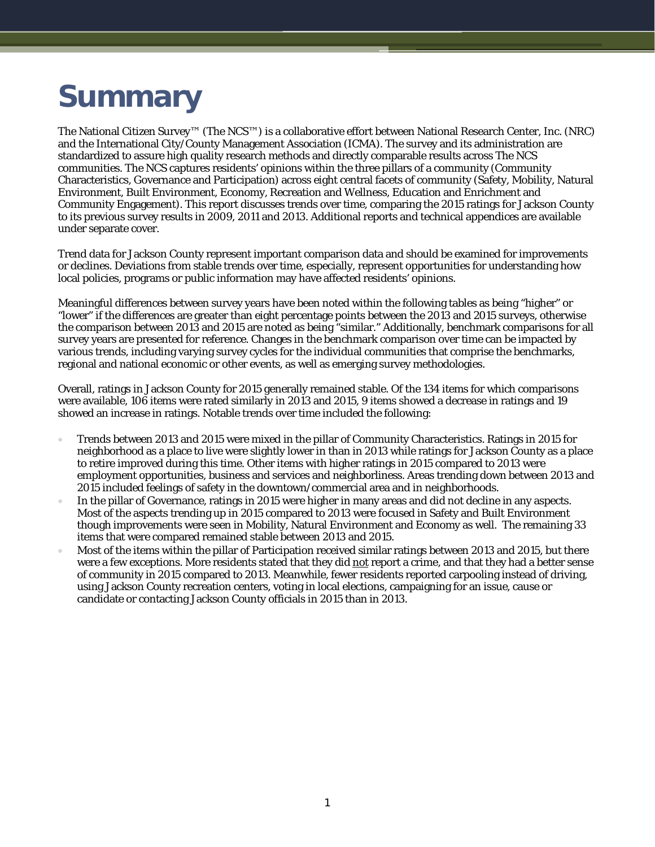# **Summary**

The National Citizen Survey™ (The NCS™) is a collaborative effort between National Research Center, Inc. (NRC) and the International City/County Management Association (ICMA). The survey and its administration are standardized to assure high quality research methods and directly comparable results across The NCS communities. The NCS captures residents' opinions within the three pillars of a community (Community Characteristics, Governance and Participation) across eight central facets of community (Safety, Mobility, Natural Environment, Built Environment, Economy, Recreation and Wellness, Education and Enrichment and Community Engagement). This report discusses trends over time, comparing the 2015 ratings for Jackson County to its previous survey results in 2009, 2011 and 2013. Additional reports and technical appendices are available under separate cover.

Trend data for Jackson County represent important comparison data and should be examined for improvements or declines. Deviations from stable trends over time, especially, represent opportunities for understanding how local policies, programs or public information may have affected residents' opinions.

Meaningful differences between survey years have been noted within the following tables as being "higher" or "lower" if the differences are greater than eight percentage points between the 2013 and 2015 surveys, otherwise the comparison between 2013 and 2015 are noted as being "similar." Additionally, benchmark comparisons for all survey years are presented for reference. Changes in the benchmark comparison over time can be impacted by various trends, including varying survey cycles for the individual communities that comprise the benchmarks, regional and national economic or other events, as well as emerging survey methodologies.

Overall, ratings in Jackson County for 2015 generally remained stable. Of the 134 items for which comparisons were available, 106 items were rated similarly in 2013 and 2015, 9 items showed a decrease in ratings and 19 showed an increase in ratings. Notable trends over time included the following:

- Trends between 2013 and 2015 were mixed in the pillar of Community Characteristics. Ratings in 2015 for neighborhood as a place to live were slightly lower in than in 2013 while ratings for Jackson County as a place to retire improved during this time. Other items with higher ratings in 2015 compared to 2013 were employment opportunities, business and services and neighborliness. Areas trending down between 2013 and 2015 included feelings of safety in the downtown/commercial area and in neighborhoods.
- In the pillar of Governance, ratings in 2015 were higher in many areas and did not decline in any aspects. Most of the aspects trending up in 2015 compared to 2013 were focused in Safety and Built Environment though improvements were seen in Mobility, Natural Environment and Economy as well. The remaining 33 items that were compared remained stable between 2013 and 2015.
- Most of the items within the pillar of Participation received similar ratings between 2013 and 2015, but there were a few exceptions. More residents stated that they did not report a crime, and that they had a better sense of community in 2015 compared to 2013. Meanwhile, fewer residents reported carpooling instead of driving, using Jackson County recreation centers, voting in local elections, campaigning for an issue, cause or candidate or contacting Jackson County officials in 2015 than in 2013.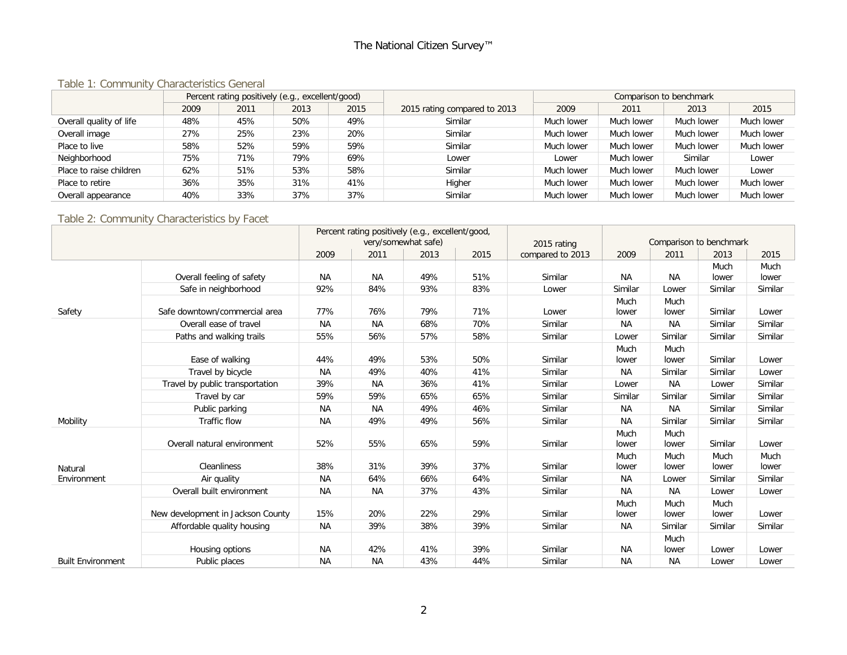# The National Citizen Survey™

#### Table 1: Community Characteristics General

|                         | Percent rating positively (e.g., excellent/good) |      |      |      |                              |            | Comparison to benchmark |            |            |
|-------------------------|--------------------------------------------------|------|------|------|------------------------------|------------|-------------------------|------------|------------|
|                         | 2009                                             | 2011 | 2013 | 2015 | 2015 rating compared to 2013 | 2009       | 2011                    | 2013       | 2015       |
| Overall quality of life | 48%                                              | 45%  | 50%  | 49%  | Similar                      | Much lower | Much lower              | Much lower | Much lower |
| Overall image           | 27%                                              | 25%  | 23%  | 20%  | Similar                      | Much lower | Much lower              | Much lower | Much lower |
| Place to live           | 58%                                              | 52%  | 59%  | 59%  | Similar                      | Much lower | Much lower              | Much lower | Much lower |
| Neighborhood            | 75%                                              | 71%  | 79%  | 69%  | Lower                        | Lower      | Much lower              | Similar    | Lower      |
| Place to raise children | 62%                                              | 51%  | 53%  | 58%  | Similar                      | Much lower | Much lower              | Much lower | Lower      |
| Place to retire         | 36%                                              | 35%  | 31%  | 41%  | Higher                       | Much lower | Much lower              | Much lower | Much lower |
| Overall appearance      | 40%                                              | 33%  | 37%  | 37%  | Similar                      | Much lower | Much lower              | Much lower | Much lower |

#### Table 2: Community Characteristics by Facet

|                          |                                   | Percent rating positively (e.g., excellent/good,<br>very/somewhat safe) |           |      |      | Comparison to benchmark         |               |               |               |               |
|--------------------------|-----------------------------------|-------------------------------------------------------------------------|-----------|------|------|---------------------------------|---------------|---------------|---------------|---------------|
|                          |                                   | 2009                                                                    | 2011      | 2013 | 2015 | 2015 rating<br>compared to 2013 | 2009          | 2011          | 2013          | 2015          |
|                          |                                   |                                                                         |           |      |      |                                 |               |               | Much          | Much          |
|                          | Overall feeling of safety         | <b>NA</b>                                                               | <b>NA</b> | 49%  | 51%  | Similar                         | <b>NA</b>     | <b>NA</b>     | lower         | lower         |
|                          | Safe in neighborhood              | 92%                                                                     | 84%       | 93%  | 83%  | Lower                           | Similar       | Lower         | Similar       | Similar       |
| Safety                   | Safe downtown/commercial area     | 77%                                                                     | 76%       | 79%  | 71%  | Lower                           | Much<br>lower | Much<br>lower | Similar       | Lower         |
|                          | Overall ease of travel            | <b>NA</b>                                                               | <b>NA</b> | 68%  | 70%  | Similar                         | <b>NA</b>     | NА            | Similar       | Similar       |
|                          | Paths and walking trails          | 55%                                                                     | 56%       | 57%  | 58%  | Similar                         | Lower         | Similar       | Similar       | Similar       |
|                          | Ease of walking                   | 44%                                                                     | 49%       | 53%  | 50%  | Similar                         | Much<br>lower | Much<br>lower | Similar       | Lower         |
|                          | Travel by bicycle                 | <b>NA</b>                                                               | 49%       | 40%  | 41%  | Similar                         | <b>NA</b>     | Similar       | Similar       | Lower         |
|                          | Travel by public transportation   | 39%                                                                     | ΝA        | 36%  | 41%  | Similar                         | Lower         | <b>NA</b>     | Lower         | Similar       |
|                          | Travel by car                     | 59%                                                                     | 59%       | 65%  | 65%  | Similar                         | Similar       | Similar       | Similar       | Similar       |
|                          | Public parking                    | NA                                                                      | <b>NA</b> | 49%  | 46%  | Similar                         | <b>NA</b>     | <b>NA</b>     | Similar       | Similar       |
| Mobility                 | <b>Traffic flow</b>               | <b>NA</b>                                                               | 49%       | 49%  | 56%  | Similar                         | <b>NA</b>     | Similar       | Similar       | Similar       |
|                          | Overall natural environment       | 52%                                                                     | 55%       | 65%  | 59%  | Similar                         | Much<br>lower | Much<br>lower | Similar       | Lower         |
| Natural                  | Cleanliness                       | 38%                                                                     | 31%       | 39%  | 37%  | Similar                         | Much<br>lower | Much<br>lower | Much<br>lower | Much<br>lower |
| Environment              | Air quality                       | <b>NA</b>                                                               | 64%       | 66%  | 64%  | Similar                         | <b>NA</b>     | Lower         | Similar       | Similar       |
|                          | Overall built environment         | <b>NA</b>                                                               | <b>NA</b> | 37%  | 43%  | Similar                         | <b>NA</b>     | <b>NA</b>     | Lower         | Lower         |
|                          |                                   |                                                                         |           |      |      |                                 | Much          | Much          | Much          |               |
|                          | New development in Jackson County | 15%                                                                     | 20%       | 22%  | 29%  | Similar                         | lower         | lower         | lower         | Lower         |
|                          | Affordable quality housing        | <b>NA</b>                                                               | 39%       | 38%  | 39%  | Similar                         | <b>NA</b>     | Similar       | Similar       | Similar       |
|                          |                                   |                                                                         |           |      |      |                                 |               | Much          |               |               |
|                          | Housing options                   | NA                                                                      | 42%       | 41%  | 39%  | Similar                         | NА            | lower         | Lower         | Lower         |
| <b>Built Environment</b> | Public places                     | <b>NA</b>                                                               | <b>NA</b> | 43%  | 44%  | Similar                         | <b>NA</b>     | <b>NA</b>     | Lower         | Lower         |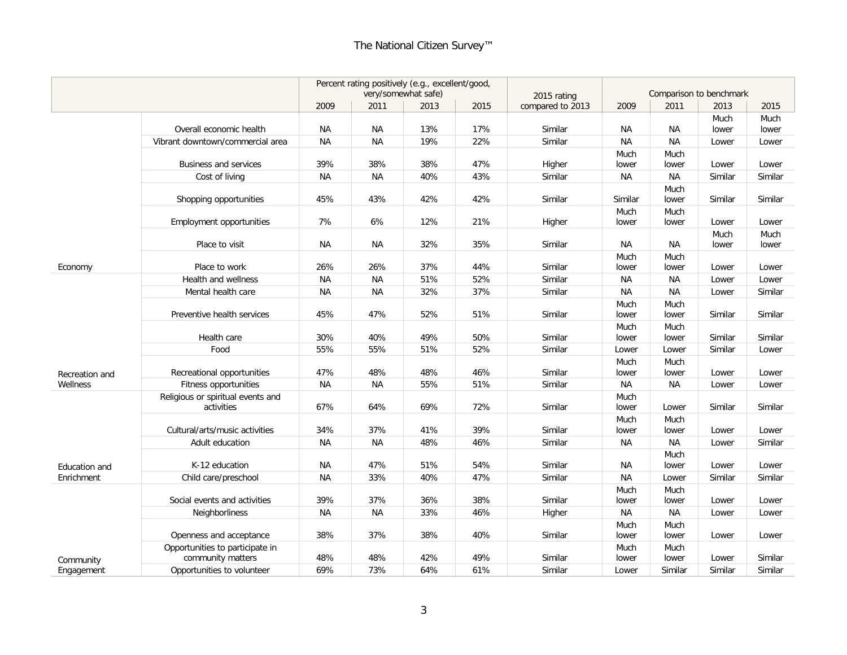|                |                                                      |           |           | Percent rating positively (e.g., excellent/good,<br>very/somewhat safe) |      | 2015 rating      | Comparison to benchmark |               |               |               |  |
|----------------|------------------------------------------------------|-----------|-----------|-------------------------------------------------------------------------|------|------------------|-------------------------|---------------|---------------|---------------|--|
|                |                                                      | 2009      | 2011      | 2013                                                                    | 2015 | compared to 2013 | 2009                    | 2011          | 2013          | 2015          |  |
|                |                                                      |           |           |                                                                         |      |                  |                         |               | Much          | Much          |  |
|                | Overall economic health                              | ΝA        | NA        | 13%                                                                     | 17%  | Similar          | NА                      | <b>NA</b>     | lower         | lower         |  |
|                | Vibrant downtown/commercial area                     | <b>NA</b> | <b>NA</b> | 19%                                                                     | 22%  | Similar          | <b>NA</b>               | <b>NA</b>     | Lower         | Lower         |  |
|                |                                                      |           |           |                                                                         |      |                  | Much                    | Much          |               |               |  |
|                | <b>Business and services</b>                         | 39%       | 38%       | 38%                                                                     | 47%  | Higher           | lower                   | lower         | Lower         | Lower         |  |
|                | Cost of living                                       | ΝA        | NA        | 40%                                                                     | 43%  | Similar          | NА                      | ΝA            | Similar       | Similar       |  |
|                | Shopping opportunities                               | 45%       | 43%       | 42%                                                                     | 42%  | Similar          | Similar                 | Much<br>lower | Similar       | Similar       |  |
|                | <b>Employment opportunities</b>                      | 7%        | 6%        | 12%                                                                     | 21%  | Higher           | Much<br>lower           | Much<br>lower | Lower         | Lower         |  |
|                | Place to visit                                       | NA        | <b>NA</b> | 32%                                                                     | 35%  | Similar          | ΝA                      | <b>NA</b>     | Much<br>lower | Much<br>lower |  |
| Economy        | Place to work                                        | 26%       | 26%       | 37%                                                                     | 44%  | Similar          | Much<br>lower           | Much<br>lower | Lower         | Lower         |  |
|                | Health and wellness                                  | ΝA        | <b>NA</b> | 51%                                                                     | 52%  | Similar          | NА                      | <b>NA</b>     | Lower         | Lower         |  |
|                | Mental health care                                   | <b>NA</b> | <b>NA</b> | 32%                                                                     | 37%  | Similar          | NA                      | <b>NA</b>     | Lower         | Similar       |  |
|                | Preventive health services                           | 45%       | 47%       | 52%                                                                     | 51%  | Similar          | Much<br>lower           | Much<br>lower | Similar       | Similar       |  |
|                | Health care                                          | 30%       | 40%       | 49%                                                                     | 50%  | Similar          | Much<br>lower           | Much<br>lower | Similar       | Similar       |  |
|                | Food                                                 | 55%       | 55%       | 51%                                                                     | 52%  | Similar          | Lower                   | Lower         | Similar       | Lower         |  |
| Recreation and | Recreational opportunities                           | 47%       | 48%       | 48%                                                                     | 46%  | Similar          | Much<br>lower           | Much<br>lower | Lower         | Lower         |  |
| Wellness       | Fitness opportunities                                | NA        | <b>NA</b> | 55%                                                                     | 51%  | Similar          | NA                      | <b>NA</b>     | Lower         | Lower         |  |
|                | Religious or spiritual events and<br>activities      | 67%       | 64%       | 69%                                                                     | 72%  | Similar          | Much<br>lower           | Lower         | Similar       | Similar       |  |
|                | Cultural/arts/music activities                       | 34%       | 37%       | 41%                                                                     | 39%  | Similar          | Much<br>lower           | Much<br>lower | Lower         | Lower         |  |
|                | Adult education                                      | ΝA        | <b>NA</b> | 48%                                                                     | 46%  | Similar          | <b>NA</b>               | <b>NA</b>     | Lower         | Similar       |  |
| Education and  | K-12 education                                       | NA        | 47%       | 51%                                                                     | 54%  | Similar          | ΝA                      | Much<br>lower | Lower         | Lower         |  |
| Enrichment     | Child care/preschool                                 | <b>NA</b> | 33%       | 40%                                                                     | 47%  | Similar          | <b>NA</b>               | Lower         | Similar       | Similar       |  |
|                |                                                      |           |           |                                                                         |      |                  | Much                    | Much          |               |               |  |
|                | Social events and activities                         | 39%       | 37%       | 36%                                                                     | 38%  | Similar          | lower                   | lower         | Lower         | Lower         |  |
|                | <b>Neighborliness</b>                                | <b>NA</b> | <b>NA</b> | 33%                                                                     | 46%  | Higher           | <b>NA</b>               | <b>NA</b>     | Lower         | Lower         |  |
|                | Openness and acceptance                              | 38%       | 37%       | 38%                                                                     | 40%  | Similar          | Much<br>lower           | Much<br>lower | Lower         | Lower         |  |
| Community      | Opportunities to participate in<br>community matters | 48%       | 48%       | 42%                                                                     | 49%  | Similar          | Much<br>lower           | Much<br>lower | Lower         | Similar       |  |
| Engagement     | Opportunities to volunteer                           | 69%       | 73%       | 64%                                                                     | 61%  | Similar          | Lower                   | Similar       | Similar       | Similar       |  |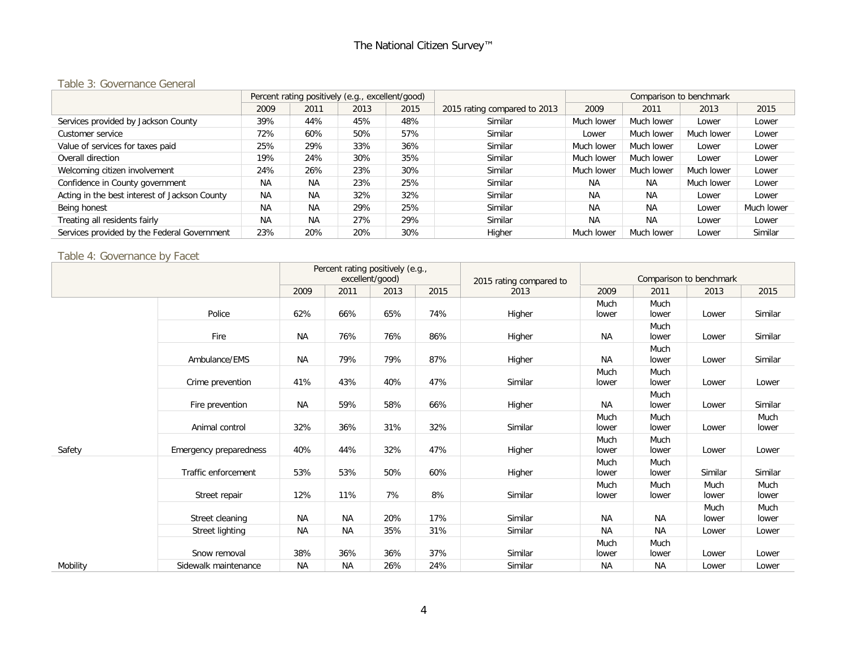#### Table 3: Governance General

|                                               |           | Percent rating positively (e.g., excellent/good) |      |      |                              | Comparison to benchmark |            |            |            |  |
|-----------------------------------------------|-----------|--------------------------------------------------|------|------|------------------------------|-------------------------|------------|------------|------------|--|
|                                               | 2009      | 2011                                             | 2013 | 2015 | 2015 rating compared to 2013 | 2009                    | 2011       | 2013       | 2015       |  |
| Services provided by Jackson County           | 39%       | 44%                                              | 45%  | 48%  | Similar                      | Much lower              | Much lower | Lower      | Lower      |  |
| Customer service                              | 72%       | 60%                                              | 50%  | 57%  | Similar                      | Lower                   | Much lower | Much lower | Lower      |  |
| Value of services for taxes paid              | 25%       | 29%                                              | 33%  | 36%  | Similar                      | Much lower              | Much lower | Lower      | Lower      |  |
| Overall direction                             | 19%       | 24%                                              | 30%  | 35%  | Similar                      | Much lower              | Much lower | Lower      | Lower      |  |
| Welcoming citizen involvement                 | 24%       | 26%                                              | 23%  | 30%  | Similar                      | Much lower              | Much lower | Much lower | Lower      |  |
| Confidence in County government               | <b>NA</b> | <b>NA</b>                                        | 23%  | 25%  | Similar                      | <b>NA</b>               | <b>NA</b>  | Much lower | Lower      |  |
| Acting in the best interest of Jackson County | <b>NA</b> | <b>NA</b>                                        | 32%  | 32%  | Similar                      | <b>NA</b>               | <b>NA</b>  | Lower      | Lower      |  |
| Being honest                                  | <b>NA</b> | <b>NA</b>                                        | 29%  | 25%  | Similar                      | <b>NA</b>               | <b>NA</b>  | Lower      | Much lower |  |
| Treating all residents fairly                 | <b>NA</b> | <b>NA</b>                                        | 27%  | 29%  | Similar                      | <b>NA</b>               | <b>NA</b>  | Lower      | Lower      |  |
| Services provided by the Federal Government   | 23%       | 20%                                              | 20%  | 30%  | Higher                       | Much lower              | Much lower | Lower      | Similar    |  |

#### Table 4: Governance by Facet

|          |                        | Percent rating positively (e.g., |           |                 |      |                         |               |               |                         |               |
|----------|------------------------|----------------------------------|-----------|-----------------|------|-------------------------|---------------|---------------|-------------------------|---------------|
|          |                        |                                  |           | excellent/good) |      | 2015 rating compared to |               |               | Comparison to benchmark |               |
|          |                        | 2009                             | 2011      | 2013            | 2015 | 2013                    | 2009          | 2011          | 2013                    | 2015          |
|          | Police                 | 62%                              | 66%       | 65%             | 74%  | Higher                  | Much<br>lower | Much<br>lower | Lower                   | Similar       |
|          | Fire                   | <b>NA</b>                        | 76%       | 76%             | 86%  | Higher                  | <b>NA</b>     | Much<br>lower | Lower                   | Similar       |
|          | Ambulance/EMS          | <b>NA</b>                        | 79%       | 79%             | 87%  | Higher                  | <b>NA</b>     | Much<br>lower | Lower                   | Similar       |
|          | Crime prevention       | 41%                              | 43%       | 40%             | 47%  | Similar                 | Much<br>lower | Much<br>lower | Lower                   | Lower         |
|          | Fire prevention        | ΝA                               | 59%       | 58%             | 66%  | Higher                  | <b>NA</b>     | Much<br>lower | Lower                   | Similar       |
|          | Animal control         | 32%                              | 36%       | 31%             | 32%  | Similar                 | Much<br>lower | Much<br>lower | Lower                   | Much<br>lower |
| Safety   | Emergency preparedness | 40%                              | 44%       | 32%             | 47%  | Higher                  | Much<br>lower | Much<br>lower | Lower                   | Lower         |
|          | Traffic enforcement    | 53%                              | 53%       | 50%             | 60%  | Higher                  | Much<br>lower | Much<br>lower | Similar                 | Similar       |
|          | Street repair          | 12%                              | 11%       | 7%              | 8%   | Similar                 | Much<br>lower | Much<br>lower | Much<br>lower           | Much<br>lower |
|          | Street cleaning        | <b>NA</b>                        | <b>NA</b> | 20%             | 17%  | Similar                 | <b>NA</b>     | NA            | Much<br>lower           | Much<br>lower |
|          | Street lighting        | <b>NA</b>                        | <b>NA</b> | 35%             | 31%  | Similar                 | <b>NA</b>     | <b>NA</b>     | Lower                   | Lower         |
|          | Snow removal           | 38%                              | 36%       | 36%             | 37%  | Similar                 | Much<br>lower | Much<br>lower | Lower                   | Lower         |
| Mobility | Sidewalk maintenance   | <b>NA</b>                        | <b>NA</b> | 26%             | 24%  | Similar                 | <b>NA</b>     | <b>NA</b>     | Lower                   | Lower         |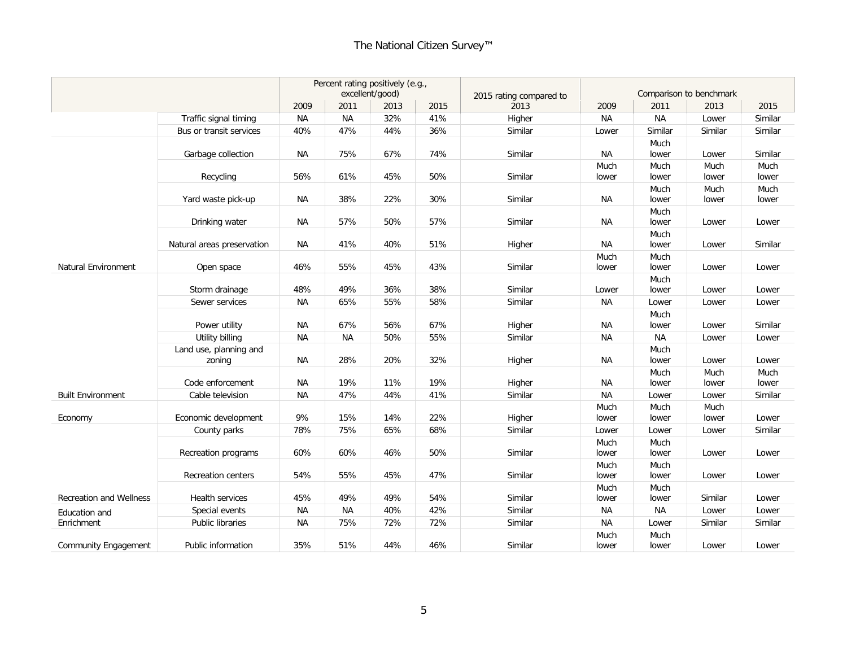# The National Citizen Survey™

|                                |                            | Percent rating positively (e.g., |           |                 |      |                         |               |               |                         |         |
|--------------------------------|----------------------------|----------------------------------|-----------|-----------------|------|-------------------------|---------------|---------------|-------------------------|---------|
|                                |                            |                                  |           | excellent/good) |      | 2015 rating compared to |               |               | Comparison to benchmark |         |
|                                |                            | 2009                             | 2011      | 2013            | 2015 | 2013                    | 2009          | 2011          | 2013                    | 2015    |
|                                | Traffic signal timing      | <b>NA</b>                        | <b>NA</b> | 32%             | 41%  | Higher                  | <b>NA</b>     | <b>NA</b>     | Lower                   | Similar |
|                                | Bus or transit services    | 40%                              | 47%       | 44%             | 36%  | Similar                 | Lower         | Similar       | Similar                 | Similar |
|                                |                            |                                  |           |                 |      |                         |               | Much          |                         |         |
|                                | Garbage collection         | <b>NA</b>                        | 75%       | 67%             | 74%  | Similar                 | <b>NA</b>     | lower         | Lower                   | Similar |
|                                |                            |                                  |           |                 |      |                         | Much          | Much          | Much                    | Much    |
|                                | Recycling                  | 56%                              | 61%       | 45%             | 50%  | Similar                 | lower         | lower         | lower                   | lower   |
|                                |                            |                                  |           |                 |      |                         |               | Much          | Much                    | Much    |
|                                | Yard waste pick-up         | <b>NA</b>                        | 38%       | 22%             | 30%  | Similar                 | <b>NA</b>     | lower         | lower                   | lower   |
|                                |                            |                                  |           |                 |      |                         |               | Much          |                         |         |
|                                | Drinking water             | <b>NA</b>                        | 57%       | 50%             | 57%  | Similar                 | <b>NA</b>     | lower         | Lower                   | Lower   |
|                                |                            |                                  |           |                 |      |                         |               | Much          |                         |         |
|                                | Natural areas preservation | <b>NA</b>                        | 41%       | 40%             | 51%  | Higher                  | <b>NA</b>     | lower         | Lower                   | Similar |
| Natural Environment            | Open space                 | 46%                              | 55%       | 45%             | 43%  | Similar                 | Much<br>lower | Much<br>lower | Lower                   | Lower   |
|                                |                            |                                  |           |                 |      |                         |               | Much          |                         |         |
|                                | Storm drainage             | 48%                              | 49%       | 36%             | 38%  | Similar                 | Lower         | lower         | Lower                   | Lower   |
|                                | Sewer services             | <b>NA</b>                        | 65%       | 55%             | 58%  | Similar                 | <b>NA</b>     | Lower         | Lower                   | Lower   |
|                                |                            |                                  |           |                 |      |                         |               | Much          |                         |         |
|                                | Power utility              | <b>NA</b>                        | 67%       | 56%             | 67%  | Higher                  | <b>NA</b>     | lower         | Lower                   | Similar |
|                                | Utility billing            | <b>NA</b>                        | <b>NA</b> | 50%             | 55%  | Similar                 | <b>NA</b>     | <b>NA</b>     | Lower                   | Lower   |
|                                | Land use, planning and     |                                  |           |                 |      |                         |               | Much          |                         |         |
|                                | zoning                     | <b>NA</b>                        | 28%       | 20%             | 32%  | Higher                  | <b>NA</b>     | lower         | Lower                   | Lower   |
|                                |                            |                                  |           |                 |      |                         |               | Much          | Much                    | Much    |
|                                | Code enforcement           | <b>NA</b>                        | 19%       | 11%             | 19%  | Higher                  | <b>NA</b>     | lower         | lower                   | lower   |
| <b>Built Environment</b>       | Cable television           | <b>NA</b>                        | 47%       | 44%             | 41%  | Similar                 | <b>NA</b>     | Lower         | Lower                   | Similar |
|                                |                            |                                  |           |                 |      |                         | Much          | Much          | Much                    |         |
| Economy                        | Economic development       | 9%                               | 15%       | 14%             | 22%  | Higher                  | lower         | lower         | lower                   | Lower   |
|                                | County parks               | 78%                              | 75%       | 65%             | 68%  | Similar                 | Lower         | Lower         | Lower                   | Similar |
|                                |                            |                                  |           |                 |      |                         | Much          | Much          |                         |         |
|                                | Recreation programs        | 60%                              | 60%       | 46%             | 50%  | Similar                 | lower         | lower         | Lower                   | Lower   |
|                                |                            |                                  |           |                 |      |                         | Much          | Much          |                         |         |
|                                | <b>Recreation centers</b>  | 54%                              | 55%       | 45%             | 47%  | Similar                 | lower         | lower         | Lower                   | Lower   |
|                                |                            |                                  |           |                 |      |                         | Much          | Much          |                         |         |
| <b>Recreation and Wellness</b> | Health services            | 45%                              | 49%       | 49%             | 54%  | Similar                 | lower         | lower         | Similar                 | Lower   |
| Education and                  | Special events             | <b>NA</b>                        | <b>NA</b> | 40%             | 42%  | Similar                 | <b>NA</b>     | <b>NA</b>     | Lower                   | Lower   |
| Enrichment                     | Public libraries           | <b>NA</b>                        | 75%       | 72%             | 72%  | Similar                 | <b>NA</b>     | Lower         | Similar                 | Similar |
|                                |                            |                                  |           |                 |      |                         | Much          | Much          |                         |         |
| Community Engagement           | Public information         | 35%                              | 51%       | 44%             | 46%  | Similar                 | lower         | lower         | Lower                   | Lower   |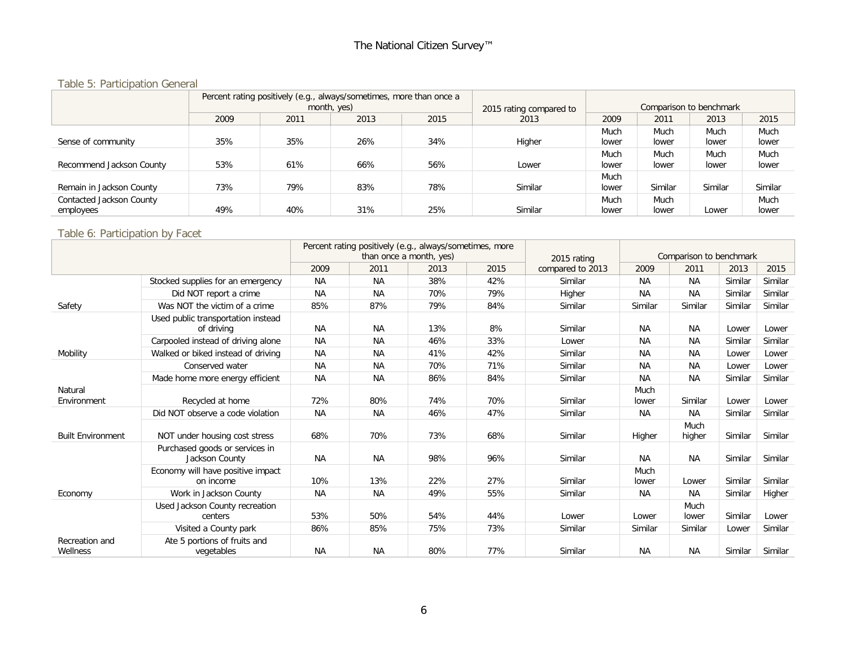# Table 5: Participation General

|                          |      |      | Percent rating positively (e.g., always/sometimes, more than once a<br>month, yes) |      | 2015 rating compared to | Comparison to benchmark |         |         |         |  |
|--------------------------|------|------|------------------------------------------------------------------------------------|------|-------------------------|-------------------------|---------|---------|---------|--|
|                          | 2009 | 2011 | 2013                                                                               | 2015 | 2013                    | 2009                    | 2011    | 2013    | 2015    |  |
|                          |      |      |                                                                                    |      |                         | Much                    | Much    | Much    | Much    |  |
| Sense of community       | 35%  | 35%  | 26%                                                                                | 34%  | Higher                  | lower                   | lower   | lower   | lower   |  |
|                          |      |      |                                                                                    |      |                         | Much                    | Much    | Much    | Much    |  |
| Recommend Jackson County | 53%  | 61%  | 66%                                                                                | 56%  | Lower                   | lower                   | lower   | lower   | lower   |  |
|                          |      |      |                                                                                    |      |                         | Much                    |         |         |         |  |
| Remain in Jackson County | 73%  | 79%  | 83%                                                                                | 78%  | Similar                 | lower                   | Similar | Similar | Similar |  |
| Contacted Jackson County |      |      |                                                                                    |      |                         | Much                    | Much    |         | Much    |  |
| employees                | 49%  | 40%  | 31%                                                                                | 25%  | Similar                 | lower                   | lower   | Lower   | lower   |  |

#### Table 6: Participation by Facet

|                            |                                                  | Percent rating positively (e.g., always/sometimes, more<br>than once a month, yes) |           |      | 2015 rating | Comparison to benchmark |               |                |         |         |
|----------------------------|--------------------------------------------------|------------------------------------------------------------------------------------|-----------|------|-------------|-------------------------|---------------|----------------|---------|---------|
|                            |                                                  | 2009                                                                               | 2011      | 2013 | 2015        | compared to 2013        | 2009          | 2011           | 2013    | 2015    |
|                            | Stocked supplies for an emergency                | <b>NA</b>                                                                          | <b>NA</b> | 38%  | 42%         | Similar                 | <b>NA</b>     | NA.            | Similar | Similar |
|                            | Did NOT report a crime                           | <b>NA</b>                                                                          | <b>NA</b> | 70%  | 79%         | Higher                  | <b>NA</b>     | <b>NA</b>      | Similar | Similar |
| Safety                     | Was NOT the victim of a crime                    | 85%                                                                                | 87%       | 79%  | 84%         | Similar                 | Similar       | Similar        | Similar | Similar |
|                            | Used public transportation instead<br>of driving | <b>NA</b>                                                                          | <b>NA</b> | 13%  | 8%          | Similar                 | <b>NA</b>     | <b>NA</b>      | Lower   | Lower   |
|                            | Carpooled instead of driving alone               | <b>NA</b>                                                                          | <b>NA</b> | 46%  | 33%         | Lower                   | <b>NA</b>     | <b>NA</b>      | Similar | Similar |
| Mobility                   | Walked or biked instead of driving               | <b>NA</b>                                                                          | <b>NA</b> | 41%  | 42%         | Similar                 | <b>NA</b>     | <b>NA</b>      | Lower   | Lower   |
|                            | Conserved water                                  | <b>NA</b>                                                                          | <b>NA</b> | 70%  | 71%         | Similar                 | ΝA            | <b>NA</b>      | Lower   | Lower   |
|                            | Made home more energy efficient                  | <b>NA</b>                                                                          | <b>NA</b> | 86%  | 84%         | Similar                 | <b>NA</b>     | <b>NA</b>      | Similar | Similar |
| Natural<br>Environment     | Recycled at home                                 | 72%                                                                                | 80%       | 74%  | 70%         | Similar                 | Much<br>lower | Similar        | Lower   | Lower   |
|                            | Did NOT observe a code violation                 | <b>NA</b>                                                                          | <b>NA</b> | 46%  | 47%         | Similar                 | <b>NA</b>     | <b>NA</b>      | Similar | Similar |
| <b>Built Environment</b>   | NOT under housing cost stress                    | 68%                                                                                | 70%       | 73%  | 68%         | Similar                 | Higher        | Much<br>higher | Similar | Similar |
|                            | Purchased goods or services in<br>Jackson County | <b>NA</b>                                                                          | <b>NA</b> | 98%  | 96%         | Similar                 | <b>NA</b>     | <b>NA</b>      | Similar | Similar |
|                            | Economy will have positive impact<br>on income   | 10%                                                                                | 13%       | 22%  | 27%         | Similar                 | Much<br>lower | Lower          | Similar | Similar |
| Economy                    | Work in Jackson County                           | <b>NA</b>                                                                          | <b>NA</b> | 49%  | 55%         | Similar                 | ΝA            | NA.            | Similar | Higher  |
|                            | Used Jackson County recreation<br>centers        | 53%                                                                                | 50%       | 54%  | 44%         | Lower                   | Lower         | Much<br>lower  | Similar | Lower   |
|                            | Visited a County park                            | 86%                                                                                | 85%       | 75%  | 73%         | Similar                 | Similar       | Similar        | Lower   | Similar |
| Recreation and<br>Wellness | Ate 5 portions of fruits and<br>vegetables       | <b>NA</b>                                                                          | <b>NA</b> | 80%  | 77%         | Similar                 | <b>NA</b>     | <b>NA</b>      | Similar | Similar |